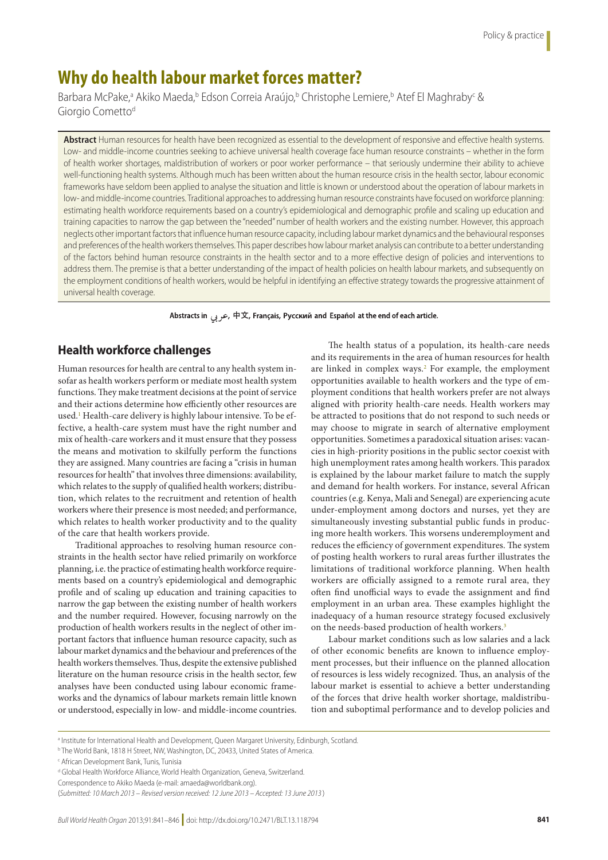# **Why do health labour market forces matter?**

Barbara McPake,<sup>a</sup> Akiko Maeda,<sup>b</sup> Edson Correia Araújo,<sup>b</sup> Christophe Lemiere,<sup>b</sup> Atef El Maghraby<sup>c</sup> & Giorgio Cometto<sup>d</sup>

**Abstract** Human resources for health have been recognized as essential to the development of responsive and effective health systems. Low- and middle-income countries seeking to achieve universal health coverage face human resource constraints – whether in the form of health worker shortages, maldistribution of workers or poor worker performance – that seriously undermine their ability to achieve well-functioning health systems. Although much has been written about the human resource crisis in the health sector, labour economic frameworks have seldom been applied to analyse the situation and little is known or understood about the operation of labour markets in low- and middle-income countries. Traditional approaches to addressing human resource constraints have focused on workforce planning: estimating health workforce requirements based on a country's epidemiological and demographic profile and scaling up education and training capacities to narrow the gap between the "needed" number of health workers and the existing number. However, this approach neglects other important factors that influence human resource capacity, including labour market dynamics and the behavioural responses and preferences of the health workers themselves. This paper describes how labour market analysis can contribute to a better understanding of the factors behind human resource constraints in the health sector and to a more effective design of policies and interventions to address them. The premise is that a better understanding of the impact of health policies on health labour markets, and subsequently on the employment conditions of health workers, would be helpful in identifying an effective strategy towards the progressive attainment of universal health coverage.

Abstracts in هربی, 中文, Français, Русский and Español at the end of each article.

# **Health workforce challenges**

Human resources for health are central to any health system insofar as health workers perform or mediate most health system functions. They make treatment decisions at the point of service and their actions determine how efficiently other resources are used.<sup>[1](#page-5-0)</sup> Health-care delivery is highly labour intensive. To be effective, a health-care system must have the right number and mix of health-care workers and it must ensure that they possess the means and motivation to skilfully perform the functions they are assigned. Many countries are facing a "crisis in human resources for health" that involves three dimensions: availability, which relates to the supply of qualified health workers; distribution, which relates to the recruitment and retention of health workers where their presence is most needed; and performance, which relates to health worker productivity and to the quality of the care that health workers provide.

Traditional approaches to resolving human resource constraints in the health sector have relied primarily on workforce planning, i.e. the practice of estimating health workforce requirements based on a country's epidemiological and demographic profile and of scaling up education and training capacities to narrow the gap between the existing number of health workers and the number required. However, focusing narrowly on the production of health workers results in the neglect of other important factors that influence human resource capacity, such as labour market dynamics and the behaviour and preferences of the health workers themselves. Thus, despite the extensive published literature on the human resource crisis in the health sector, few analyses have been conducted using labour economic frameworks and the dynamics of labour markets remain little known or understood, especially in low- and middle-income countries.

The health status of a population, its health-care needs and its requirements in the area of human resources for health are linked in complex ways. $2$  For example, the employment opportunities available to health workers and the type of employment conditions that health workers prefer are not always aligned with priority health-care needs. Health workers may be attracted to positions that do not respond to such needs or may choose to migrate in search of alternative employment opportunities. Sometimes a paradoxical situation arises: vacancies in high-priority positions in the public sector coexist with high unemployment rates among health workers. This paradox is explained by the labour market failure to match the supply and demand for health workers. For instance, several African countries (e.g. Kenya, Mali and Senegal) are experiencing acute under-employment among doctors and nurses, yet they are simultaneously investing substantial public funds in producing more health workers. This worsens underemployment and reduces the efficiency of government expenditures. The system of posting health workers to rural areas further illustrates the limitations of traditional workforce planning. When health workers are officially assigned to a remote rural area, they often find unofficial ways to evade the assignment and find employment in an urban area. These examples highlight the inadequacy of a human resource strategy focused exclusively on the needs-based production of health workers.<sup>3</sup>

Labour market conditions such as low salaries and a lack of other economic benefits are known to influence employment processes, but their influence on the planned allocation of resources is less widely recognized. Thus, an analysis of the labour market is essential to achieve a better understanding of the forces that drive health worker shortage, maldistribution and suboptimal performance and to develop policies and

<sup>&</sup>lt;sup>a</sup> Institute for International Health and Development, Queen Margaret University, Edinburgh, Scotland.

b The World Bank, 1818 H Street, NW, Washington, DC, 20433, United States of America.

c African Development Bank, Tunis, Tunisia

d Global Health Workforce Alliance, World Health Organization, Geneva, Switzerland.

Correspondence to Akiko Maeda (e-mail: amaeda@worldbank.org).

<sup>(</sup>*Submitted: 10 March 2013 – Revised version received: 12 June 2013 – Accepted: 13 June 2013* )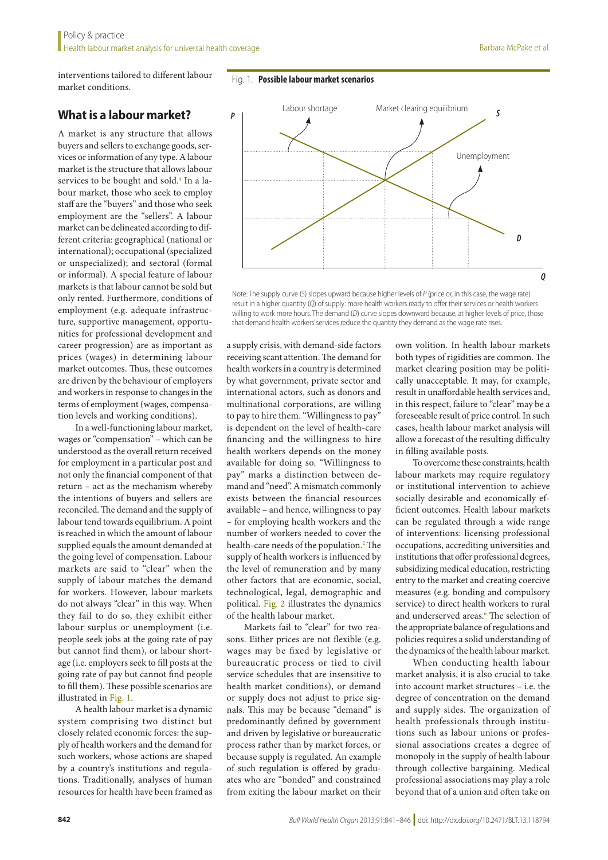interventions tailored to different labour market conditions.

#### <span id="page-1-0"></span>Fig. 1. **Possible labour market scenarios**



A market is any structure that allows buyers and sellers to exchange goods, services or information of any type. A labour market is the structure that allows labour services to be bought and sold.<sup>4</sup> In a labour market, those who seek to employ staff are the "buyers" and those who seek employment are the "sellers". A labour market can be delineated according to different criteria: geographical (national or international); occupational (specialized or unspecialized); and sectoral (formal or informal). A special feature of labour markets is that labour cannot be sold but only rented. Furthermore, conditions of employment (e.g. adequate infrastructure, supportive management, opportunities for professional development and career progression) are as important as prices (wages) in determining labour market outcomes. Thus, these outcomes are driven by the behaviour of employers and workers in response to changes in the terms of employment (wages, compensation levels and working conditions).

In a well-functioning labour market, wages or "compensation" – which can be understood as the overall return received for employment in a particular post and not only the financial component of that return – act as the mechanism whereby the intentions of buyers and sellers are reconciled. The demand and the supply of labour tend towards equilibrium. A point is reached in which the amount of labour supplied equals the amount demanded at the going level of compensation. Labour markets are said to "clear" when the supply of labour matches the demand for workers. However, labour markets do not always "clear" in this way. When they fail to do so, they exhibit either labour surplus or unemployment (i.e. people seek jobs at the going rate of pay but cannot find them), or labour shortage (i.e. employers seek to fill posts at the going rate of pay but cannot find people to fill them). These possible scenarios are illustrated in [Fig.](#page-1-0) 1.

A health labour market is a dynamic system comprising two distinct but closely related economic forces: the supply of health workers and the demand for such workers, whose actions are shaped by a country's institutions and regulations. Traditionally, analyses of human resources for health have been framed as



Note: The supply curve (*S*) slopes upward because higher levels of *P* (price or, in this case, the wage rate) result in a higher quantity (*Q*) of supply: more health workers ready to offer their services or health workers willing to work more hours. The demand (*D*) curve slopes downward because, at higher levels of price, those that demand health workers' services reduce the quantity they demand as the wage rate rises.

a supply crisis, with demand-side factors receiving scant attention. The demand for health workers in a country is determined by what government, private sector and international actors, such as donors and multinational corporations, are willing to pay to hire them. "Willingness to pay" is dependent on the level of health-care financing and the willingness to hire health workers depends on the money available for doing so. "Willingness to pay" marks a distinction between demand and "need". A mismatch commonly exists between the financial resources available – and hence, willingness to pay – for employing health workers and the number of workers needed to cover the health-care needs of the population.<sup>2</sup> The supply of health workers is influenced by the level of remuneration and by many other factors that are economic, social, technological, legal, demographic and political. [Fig.](#page-2-0) 2 illustrates the dynamics of the health labour market.

Markets fail to "clear" for two reasons. Either prices are not flexible (e.g. wages may be fixed by legislative or bureaucratic process or tied to civil service schedules that are insensitive to health market conditions), or demand or supply does not adjust to price signals. This may be because "demand" is predominantly defined by government and driven by legislative or bureaucratic process rather than by market forces, or because supply is regulated. An example of such regulation is offered by graduates who are "bonded" and constrained from exiting the labour market on their

own volition. In health labour markets both types of rigidities are common. The market clearing position may be politically unacceptable. It may, for example, result in unaffordable health services and, in this respect, failure to "clear" may be a foreseeable result of price control. In such cases, health labour market analysis will allow a forecast of the resulting difficulty in filling available posts.

To overcome these constraints, health labour markets may require regulatory or institutional intervention to achieve socially desirable and economically efficient outcomes. Health labour markets can be regulated through a wide range of interventions: licensing professional occupations, accrediting universities and institutions that offer professional degrees, subsidizing medical education, restricting entry to the market and creating coercive measures (e.g. bonding and compulsory service) to direct health workers to rural and underserved areas.<sup>6</sup> The selection of the appropriate balance of regulations and policies requires a solid understanding of the dynamics of the health labour market.

When conducting health labour market analysis, it is also crucial to take into account market structures – i.e. the degree of concentration on the demand and supply sides. The organization of health professionals through institutions such as labour unions or professional associations creates a degree of monopoly in the supply of health labour through collective bargaining. Medical professional associations may play a role beyond that of a union and often take on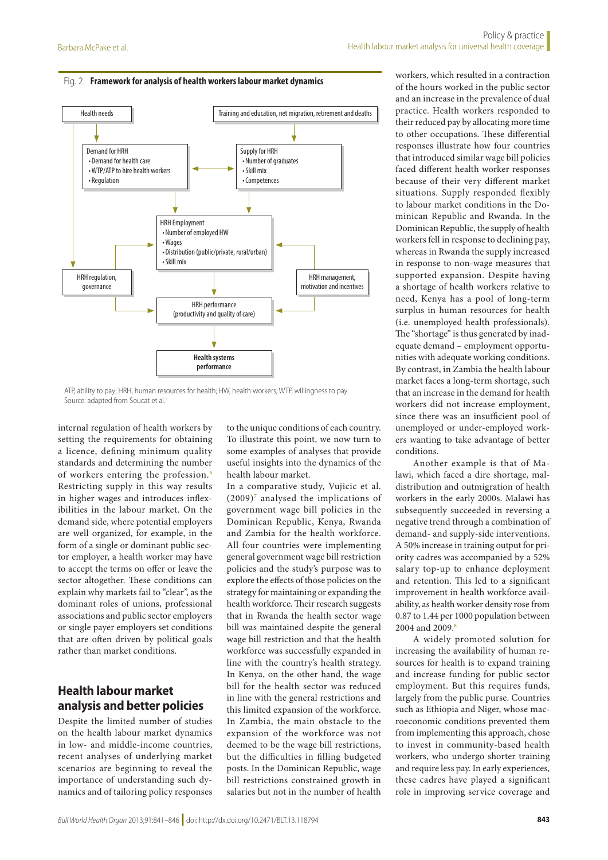

### <span id="page-2-0"></span>Fig. 2. **Framework for analysis of health workers labour market dynamics**

internal regulation of health workers by setting the requirements for obtaining a licence, defining minimum quality standards and determining the number of workers entering the profession.<sup>[6](#page-5-4)</sup> Restricting supply in this way results in higher wages and introduces inflexibilities in the labour market. On the demand side, where potential employers are well organized, for example, in the form of a single or dominant public sector employer, a health worker may have to accept the terms on offer or leave the sector altogether. These conditions can explain why markets fail to "clear", as the dominant roles of unions, professional associations and public sector employers or single payer employers set conditions that are often driven by political goals rather than market conditions.

# **Health labour market analysis and better policies**

Despite the limited number of studies on the health labour market dynamics in low- and middle-income countries, recent analyses of underlying market scenarios are beginning to reveal the importance of understanding such dynamics and of tailoring policy responses

to the unique conditions of each country. To illustrate this point, we now turn to some examples of analyses that provide useful insights into the dynamics of the health labour market.

In a comparative study, Vujicic et al.  $(2009)^7$  $(2009)^7$  analysed the implications of government wage bill policies in the Dominican Republic, Kenya, Rwanda and Zambia for the health workforce. All four countries were implementing general government wage bill restriction policies and the study's purpose was to explore the effects of those policies on the strategy for maintaining or expanding the health workforce. Their research suggests that in Rwanda the health sector wage bill was maintained despite the general wage bill restriction and that the health workforce was successfully expanded in line with the country's health strategy. In Kenya, on the other hand, the wage bill for the health sector was reduced in line with the general restrictions and this limited expansion of the workforce. In Zambia, the main obstacle to the expansion of the workforce was not deemed to be the wage bill restrictions, but the difficulties in filling budgeted posts. In the Dominican Republic, wage bill restrictions constrained growth in salaries but not in the number of health

workers, which resulted in a contraction of the hours worked in the public sector and an increase in the prevalence of dual practice. Health workers responded to their reduced pay by allocating more time to other occupations. These differential responses illustrate how four countries that introduced similar wage bill policies faced different health worker responses because of their very different market situations. Supply responded flexibly to labour market conditions in the Dominican Republic and Rwanda. In the Dominican Republic, the supply of health workers fell in response to declining pay, whereas in Rwanda the supply increased in response to non-wage measures that supported expansion. Despite having a shortage of health workers relative to need, Kenya has a pool of long-term surplus in human resources for health (i.e. unemployed health professionals). The "shortage" is thus generated by inadequate demand – employment opportunities with adequate working conditions. By contrast, in Zambia the health labour market faces a long-term shortage, such that an increase in the demand for health workers did not increase employment, since there was an insufficient pool of unemployed or under-employed workers wanting to take advantage of better conditions.

Another example is that of Malawi, which faced a dire shortage, maldistribution and outmigration of health workers in the early 2000s. Malawi has subsequently succeeded in reversing a negative trend through a combination of demand- and supply-side interventions. A 50% increase in training output for priority cadres was accompanied by a 52% salary top-up to enhance deployment and retention. This led to a significant improvement in health workforce availability, as health worker density rose from 0.87 to 1.44 per 1000 population between 2004 and 2009.<sup>[8](#page-5-6)</sup>

A widely promoted solution for increasing the availability of human resources for health is to expand training and increase funding for public sector employment. But this requires funds, largely from the public purse. Countries such as Ethiopia and Niger, whose macroeconomic conditions prevented them from implementing this approach, chose to invest in community-based health workers, who undergo shorter training and require less pay. In early experiences, these cadres have played a significant role in improving service coverage and

ATP, ability to pay; HRH, human resources for health; HW, health workers; WTP, willingness to pay. Source: adapted from Soucat et al.<sup>[5](#page-5-7)</sup>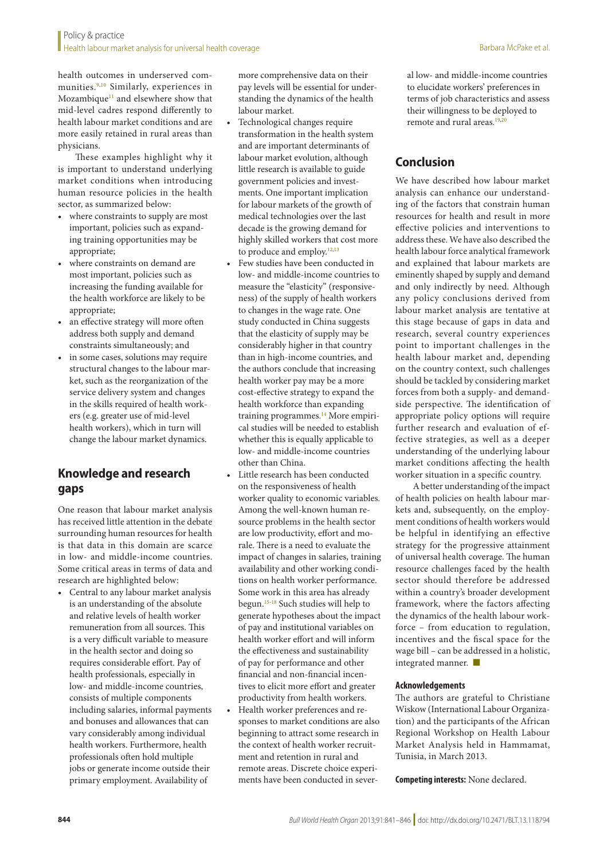health outcomes in underserved communities[.9](#page-5-8),[10](#page-5-9) Similarly, experiences in Mozambique $11$  and elsewhere show that mid-level cadres respond differently to health labour market conditions and are more easily retained in rural areas than physicians.

These examples highlight why it is important to understand underlying market conditions when introducing human resource policies in the health sector, as summarized below:

- • where constraints to supply are most important, policies such as expanding training opportunities may be appropriate;
- where constraints on demand are most important, policies such as increasing the funding available for the health workforce are likely to be appropriate;
- an effective strategy will more often address both supply and demand constraints simultaneously; and
- in some cases, solutions may require structural changes to the labour market, such as the reorganization of the service delivery system and changes in the skills required of health workers (e.g. greater use of mid-level health workers), which in turn will change the labour market dynamics.

# **Knowledge and research gaps**

One reason that labour market analysis has received little attention in the debate surrounding human resources for health is that data in this domain are scarce in low- and middle-income countries. Some critical areas in terms of data and research are highlighted below:

• Central to any labour market analysis is an understanding of the absolute and relative levels of health worker remuneration from all sources. This is a very difficult variable to measure in the health sector and doing so requires considerable effort. Pay of health professionals, especially in low- and middle-income countries, consists of multiple components including salaries, informal payments and bonuses and allowances that can vary considerably among individual health workers. Furthermore, health professionals often hold multiple jobs or generate income outside their primary employment. Availability of

more comprehensive data on their pay levels will be essential for understanding the dynamics of the health labour market.

- • Technological changes require transformation in the health system and are important determinants of labour market evolution, although little research is available to guide government policies and investments. One important implication for labour markets of the growth of medical technologies over the last decade is the growing demand for highly skilled workers that cost more to produce and employ.<sup>[12,](#page-5-11)[13](#page-5-12)</sup>
- Few studies have been conducted in low- and middle-income countries to measure the "elasticity" (responsiveness) of the supply of health workers to changes in the wage rate. One study conducted in China suggests that the elasticity of supply may be considerably higher in that country than in high-income countries, and the authors conclude that increasing health worker pay may be a more cost-effective strategy to expand the health workforce than expanding training programmes.<sup>14</sup> More empirical studies will be needed to establish whether this is equally applicable to low- and middle-income countries other than China.
- • Little research has been conducted on the responsiveness of health worker quality to economic variables. Among the well-known human resource problems in the health sector are low productivity, effort and morale. There is a need to evaluate the impact of changes in salaries, training availability and other working conditions on health worker performance. Some work in this area has already begun.[15-](#page-5-14)[18](#page-5-15) Such studies will help to generate hypotheses about the impact of pay and institutional variables on health worker effort and will inform the effectiveness and sustainability of pay for performance and other financial and non-financial incentives to elicit more effort and greater productivity from health workers.
- Health worker preferences and responses to market conditions are also beginning to attract some research in the context of health worker recruitment and retention in rural and remote areas. Discrete choice experiments have been conducted in sever-

al low- and middle-income countries to elucidate workers' preferences in terms of job characteristics and assess their willingness to be deployed to remote and rural areas.<sup>[19,](#page-5-16)</sup>

# **Conclusion**

We have described how labour market analysis can enhance our understanding of the factors that constrain human resources for health and result in more effective policies and interventions to address these. We have also described the health labour force analytical framework and explained that labour markets are eminently shaped by supply and demand and only indirectly by need. Although any policy conclusions derived from labour market analysis are tentative at this stage because of gaps in data and research, several country experiences point to important challenges in the health labour market and, depending on the country context, such challenges should be tackled by considering market forces from both a supply- and demandside perspective. The identification of appropriate policy options will require further research and evaluation of effective strategies, as well as a deeper understanding of the underlying labour market conditions affecting the health worker situation in a specific country.

A better understanding of the impact of health policies on health labour markets and, subsequently, on the employment conditions of health workers would be helpful in identifying an effective strategy for the progressive attainment of universal health coverage. The human resource challenges faced by the health sector should therefore be addressed within a country's broader development framework, where the factors affecting the dynamics of the health labour workforce – from education to regulation, incentives and the fiscal space for the wage bill – can be addressed in a holistic, integrated manner. ■

### **Acknowledgements**

The authors are grateful to Christiane Wiskow (International Labour Organization) and the participants of the African Regional Workshop on Health Labour Market Analysis held in Hammamat, Tunisia, in March 2013.

**Competing interests:** None declared.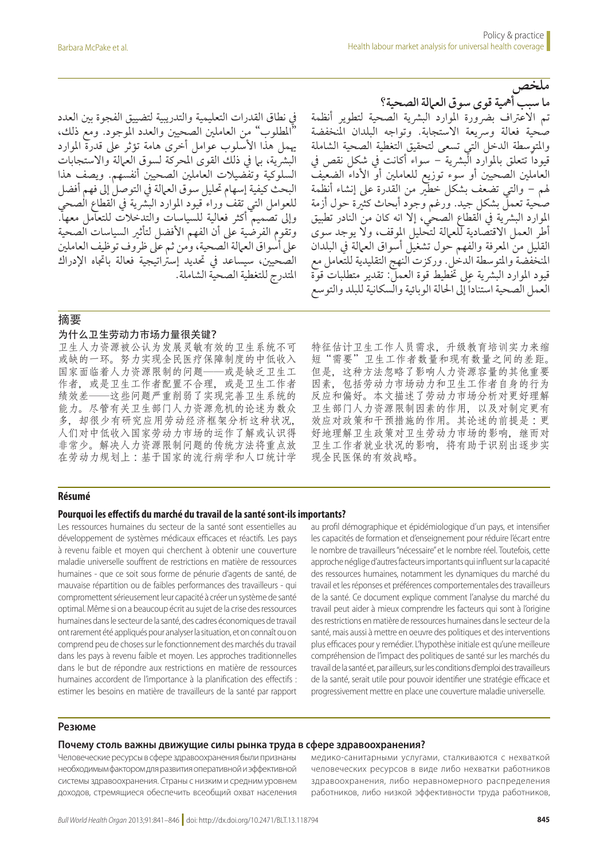يف نطاق القدرات التعليمية والتدريبية لتضييق الفجوة بني العدد "املطلوب" من العاملني الصحيني والعدد املوجود. ومع ذلك، هيمل هذا األسلوب عوامل أخرى هامة تؤثر عىل قدرة املوارد البشرية، بها في ذلك القوى المحركة لسوق العمالة والاستجابات السلوكية وتفضيالت العاملني الصحيني أنفسهم. ويصف هذا البحث كيفية إسهام حتليل سوق العاملة يف التوصل إىل فهم أفضل للعوامل التي تقف وراء قيود الموارد البشرية في القطاع الصحي وإىل تصميم أكثر فعالية للسياسات والتدخالت للتعامل معها. وتقوم الفرضية على أن الفهم الأفضل لتأثير السياسات الصحية عىل أسواق العاملة الصحية، ومن ثم عىل ظروف توظيف العاملني الصحيين، سيساعد في تحديد إستراتيجية فعالة باتجاه الإدراك املتدرج للتغطية الصحية الشاملة. **ملخص**

**ما سبب أمهية قوى سوق العاملة الصحية؟** تم الاعتراف بضرورة الموارد البشرية الصحية لتطوير أنظمة صحية فعالة ورسيعة االستجابة. وتواجه البلدان املنخفضة واملتوسطة الدخل التي تسعى لتحقيق التغطية الصحية الشاملة قيوداً تتعلق بالمواّرد الّبشرية – سواء أكانت في شكل نقص في العاملين الصحيين أو سوء توزيع للعاملين أو الأداء الضعيف هلم – والتي تضعف بشكل خطري من القدرة عىل إنشاء أنظمة صحية تعمل بشكل جيد. ورغم وجود أبحاث كثرية حول أزمة الموارد البشرية في القطاع الصحي، إلا انه كان من النادر تطبيق أطر العمل الاقتصادية للعمالة لتحليل الموقف، ولا يوجد سوى القليل من المعرفة والفهم حول تشغيل أسواق العمالة في البلدان املنخفضة واملتوسطة الدخل. وركزت النهج التقليدية للتعامل مع قيود الموارد البُشرية عِلى تخطيط قوّة العمل: تقدير متطلبات قوة العمل الصحية استناداً إىل احلالة الوبائية والسكانية للبلد والتوسع

# 摘要

#### 为什么卫生劳动力市场力量很关键?

卫生人力资源被公认为发展灵敏有效的卫生系统不可 或缺的一环。努力实现全民医疗保障制度的中低收入 国家面临着人力资源限制的问题——或是缺乏卫生工 作者,或是卫生工作者配置不合理,或是卫生工作者 绩效差——这些问题严重削弱了实现完善卫生系统的 能力。尽管有关卫生部门人力资源危机的论述为数众 多,却很少有研究应用劳动经济框架分析这种状况, 人们对中低收入国家劳动力市场的运作了解或认识得 非常少。解决人力资源限制问题的传统方法将重点放 在劳动力规划上 :基于国家的流行病学和人口统计学

特征估计卫生工作人员需求,升级教育培训实力来缩 短"需要"卫生工作者数量和现有数量之间的差距。 但是,这种方法忽略了影响人力资源容量的其他重要 因素,包括劳动力市场动力和卫生工作者自身的行为 反应和偏好。本文描述了劳动力市场分析对更好理解 卫生部门人力资源限制因素的作用,以及对制定更有 效应对政策和干预措施的作用。其论述的前提是 :更 好地理解卫生政策对卫生劳动力市场的影响,继而对 卫生工作者就业状况的影响,将有助于识别出逐步实 现全民医保的有效战略。

### **Résumé**

#### **Pourquoi les effectifs du marché du travail de la santé sont-ils importants?**

Les ressources humaines du secteur de la santé sont essentielles au développement de systèmes médicaux efficaces et réactifs. Les pays à revenu faible et moyen qui cherchent à obtenir une couverture maladie universelle souffrent de restrictions en matière de ressources humaines - que ce soit sous forme de pénurie d'agents de santé, de mauvaise répartition ou de faibles performances des travailleurs - qui compromettent sérieusement leur capacité à créer un système de santé optimal. Même si on a beaucoup écrit au sujet de la crise des ressources humaines dans le secteur de la santé, des cadres économiques de travail ont rarement été appliqués pour analyser la situation, et on connaît ou on comprend peu de choses sur le fonctionnement des marchés du travail dans les pays à revenu faible et moyen. Les approches traditionnelles dans le but de répondre aux restrictions en matière de ressources humaines accordent de l'importance à la planification des effectifs : estimer les besoins en matière de travailleurs de la santé par rapport

au profil démographique et épidémiologique d'un pays, et intensifier les capacités de formation et d'enseignement pour réduire l'écart entre le nombre de travailleurs "nécessaire" et le nombre réel. Toutefois, cette approche néglige d'autres facteurs importants qui influent sur la capacité des ressources humaines, notamment les dynamiques du marché du travail et les réponses et préférences comportementales des travailleurs de la santé. Ce document explique comment l'analyse du marché du travail peut aider à mieux comprendre les facteurs qui sont à l'origine des restrictions en matière de ressources humaines dans le secteur de la santé, mais aussi à mettre en oeuvre des politiques et des interventions plus efficaces pour y remédier. L'hypothèse initiale est qu'une meilleure compréhension de l'impact des politiques de santé sur les marchés du travail de la santé et, par ailleurs, sur les conditions d'emploi des travailleurs de la santé, serait utile pour pouvoir identifier une stratégie efficace et progressivement mettre en place une couverture maladie universelle.

#### **Резюме**

#### **Почему столь важны движущие силы рынка труда в сфере здравоохранения?**

Человеческие ресурсы в сфере здравоохранения были признаны необходимым фактором для развития оперативной и эффективной системы здравоохранения. Страны с низким и средним уровнем доходов, стремящиеся обеспечить всеобщий охват населения медико-санитарными услугами, сталкиваются с нехваткой человеческих ресурсов в виде либо нехватки работников здравоохранения, либо неравномерного распределения работников, либо низкой эффективности труда работников,